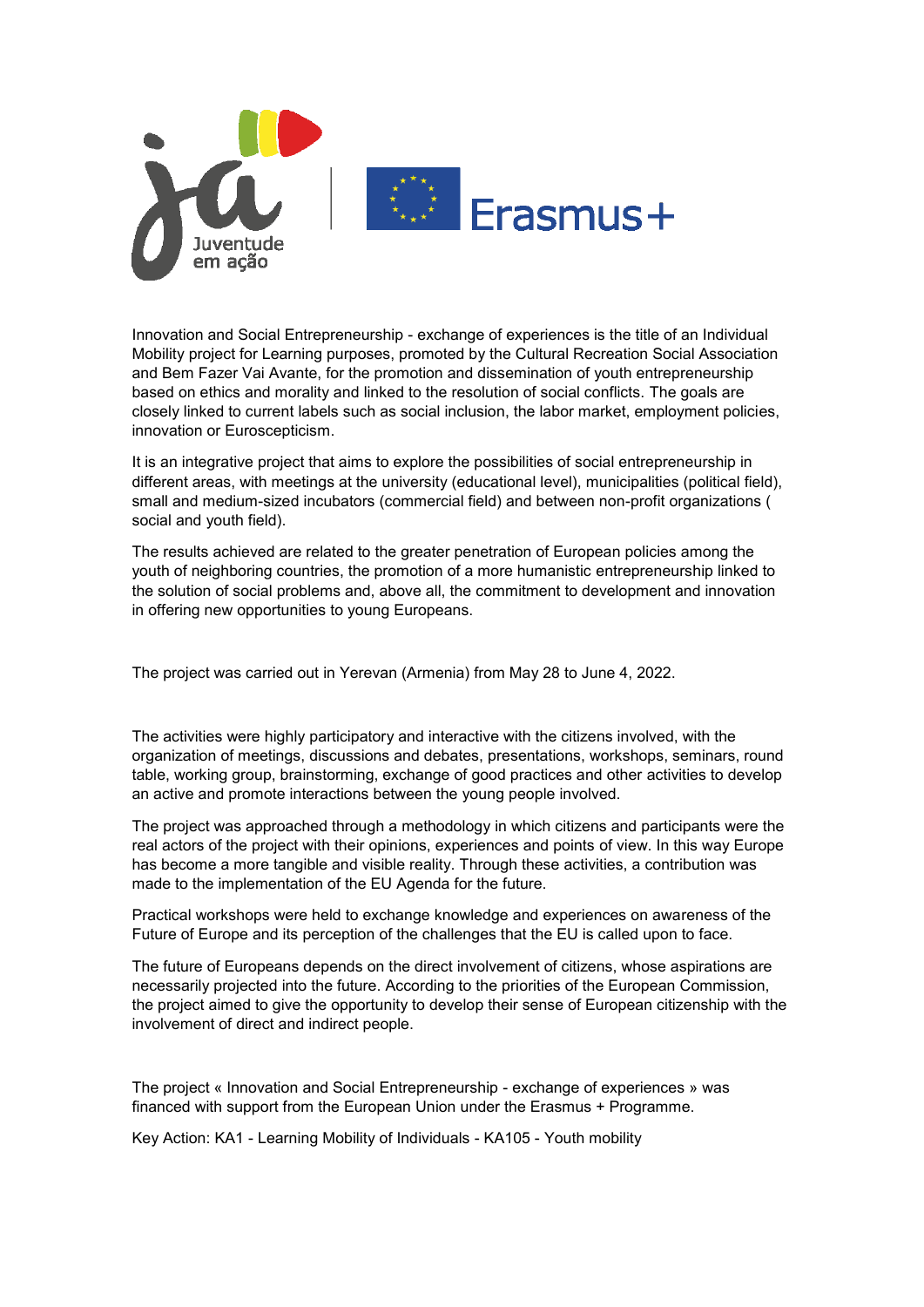

Innovation and Social Entrepreneurship - exchange of experiences is the title of an Individual Mobility project for Learning purposes, promoted by the Cultural Recreation Social Association and Bem Fazer Vai Avante, for the promotion and dissemination of youth entrepreneurship based on ethics and morality and linked to the resolution of social conflicts. The goals are closely linked to current labels such as social inclusion, the labor market, employment policies, innovation or Euroscepticism.

It is an integrative project that aims to explore the possibilities of social entrepreneurship in different areas, with meetings at the university (educational level), municipalities (political field), small and medium-sized incubators (commercial field) and between non-profit organizations ( social and youth field).

The results achieved are related to the greater penetration of European policies among the youth of neighboring countries, the promotion of a more humanistic entrepreneurship linked to the solution of social problems and, above all, the commitment to development and innovation in offering new opportunities to young Europeans.

The project was carried out in Yerevan (Armenia) from May 28 to June 4, 2022.

The activities were highly participatory and interactive with the citizens involved, with the organization of meetings, discussions and debates, presentations, workshops, seminars, round table, working group, brainstorming, exchange of good practices and other activities to develop an active and promote interactions between the young people involved.

The project was approached through a methodology in which citizens and participants were the real actors of the project with their opinions, experiences and points of view. In this way Europe has become a more tangible and visible reality. Through these activities, a contribution was made to the implementation of the EU Agenda for the future.

Practical workshops were held to exchange knowledge and experiences on awareness of the Future of Europe and its perception of the challenges that the EU is called upon to face.

The future of Europeans depends on the direct involvement of citizens, whose aspirations are necessarily projected into the future. According to the priorities of the European Commission, the project aimed to give the opportunity to develop their sense of European citizenship with the involvement of direct and indirect people.

The project « Innovation and Social Entrepreneurship - exchange of experiences » was financed with support from the European Union under the Erasmus + Programme.

Key Action: KA1 - Learning Mobility of Individuals - KA105 - Youth mobility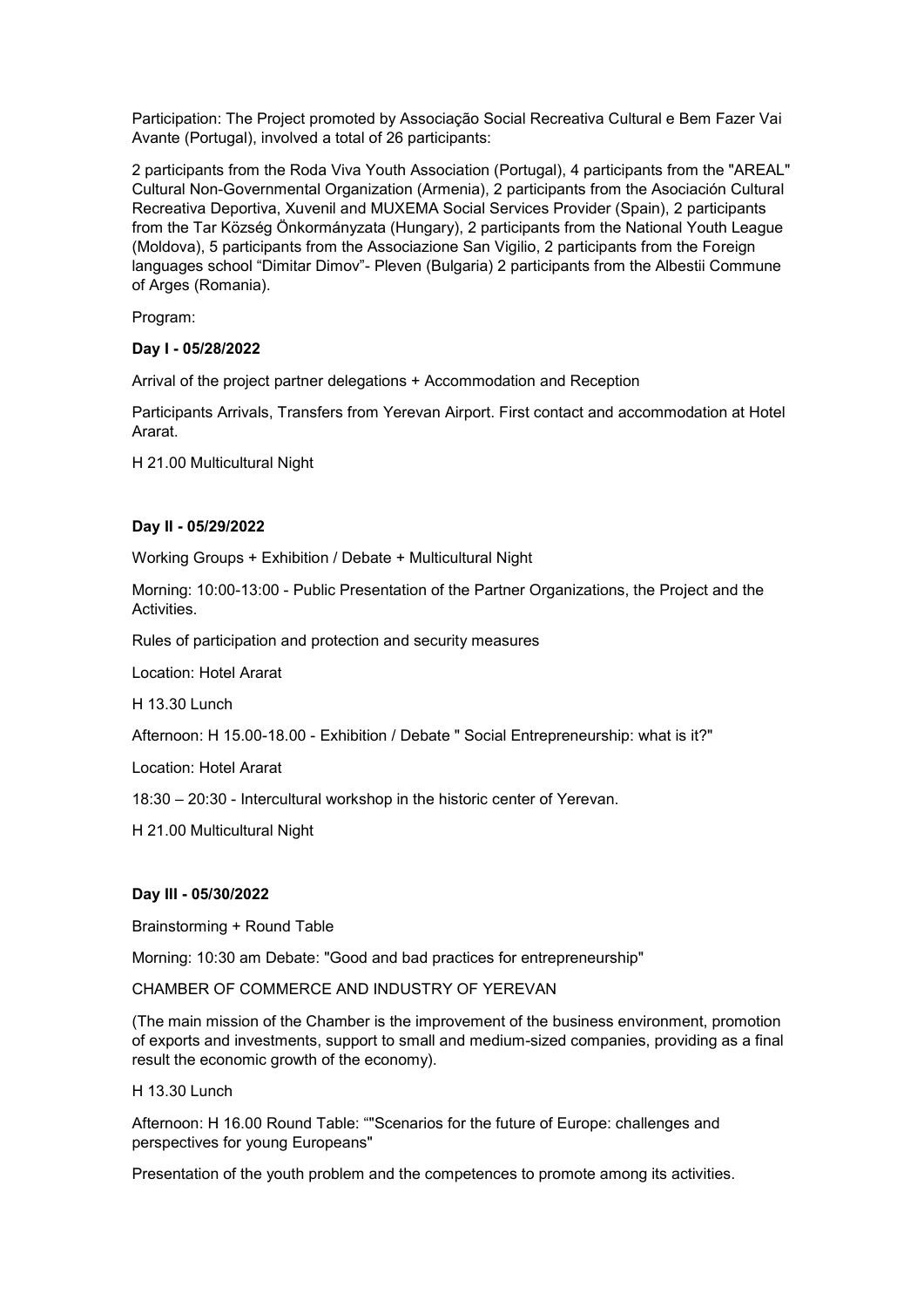Participation: The Project promoted by Associação Social Recreativa Cultural e Bem Fazer Vai Avante (Portugal), involved a total of 26 participants:

2 participants from the Roda Viva Youth Association (Portugal), 4 participants from the "AREAL" Cultural Non-Governmental Organization (Armenia), 2 participants from the Asociación Cultural Recreativa Deportiva, Xuvenil and MUXEMA Social Services Provider (Spain), 2 participants from the Tar Község Önkormányzata (Hungary), 2 participants from the National Youth League (Moldova), 5 participants from the Associazione San Vigilio, 2 participants from the Foreign languages school "Dimitar Dimov"- Pleven (Bulgaria) 2 participants from the Albestii Commune of Arges (Romania).

Program:

## **Day I - 05/28/2022**

Arrival of the project partner delegations + Accommodation and Reception

Participants Arrivals, Transfers from Yerevan Airport. First contact and accommodation at Hotel Ararat.

H 21.00 Multicultural Night

### **Day II - 05/29/2022**

Working Groups + Exhibition / Debate + Multicultural Night

Morning: 10:00-13:00 - Public Presentation of the Partner Organizations, the Project and the Activities.

Rules of participation and protection and security measures

Location: Hotel Ararat

H 13.30 Lunch

Afternoon: H 15.00-18.00 - Exhibition / Debate " Social Entrepreneurship: what is it?"

Location: Hotel Ararat

18:30 – 20:30 - Intercultural workshop in the historic center of Yerevan.

H 21.00 Multicultural Night

#### **Day III - 05/30/2022**

Brainstorming + Round Table

Morning: 10:30 am Debate: "Good and bad practices for entrepreneurship"

CHAMBER OF COMMERCE AND INDUSTRY OF YEREVAN

(The main mission of the Chamber is the improvement of the business environment, promotion of exports and investments, support to small and medium-sized companies, providing as a final result the economic growth of the economy).

#### H 13.30 Lunch

Afternoon: H 16.00 Round Table: ""Scenarios for the future of Europe: challenges and perspectives for young Europeans"

Presentation of the youth problem and the competences to promote among its activities.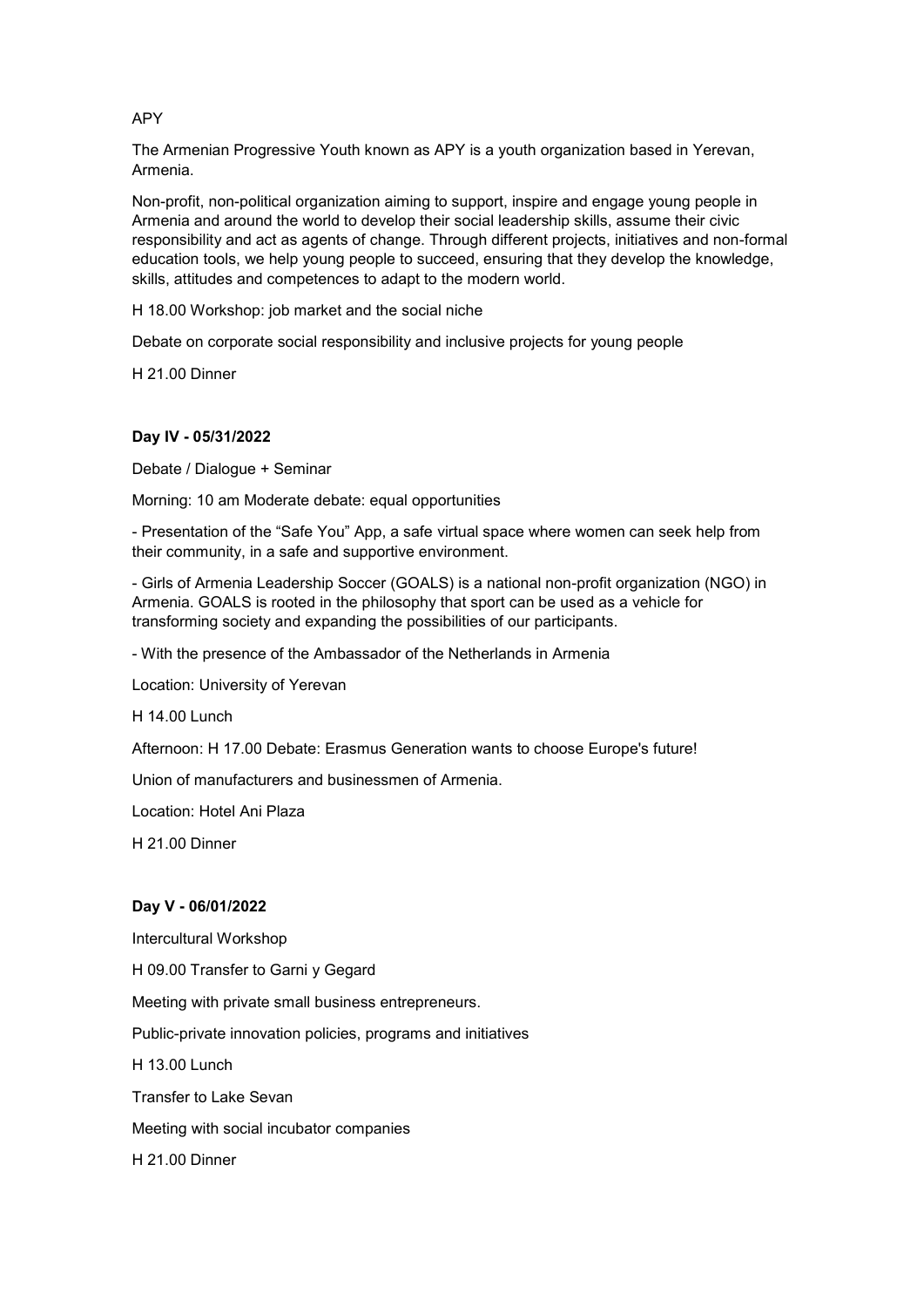APY

The Armenian Progressive Youth known as APY is a youth organization based in Yerevan, Armenia.

Non-profit, non-political organization aiming to support, inspire and engage young people in Armenia and around the world to develop their social leadership skills, assume their civic responsibility and act as agents of change. Through different projects, initiatives and non-formal education tools, we help young people to succeed, ensuring that they develop the knowledge, skills, attitudes and competences to adapt to the modern world.

H 18.00 Workshop: job market and the social niche

Debate on corporate social responsibility and inclusive projects for young people

H 21.00 Dinner

## **Day IV - 05/31/2022**

Debate / Dialogue + Seminar

Morning: 10 am Moderate debate: equal opportunities

- Presentation of the "Safe You" App, a safe virtual space where women can seek help from their community, in a safe and supportive environment.

- Girls of Armenia Leadership Soccer (GOALS) is a national non-profit organization (NGO) in Armenia. GOALS is rooted in the philosophy that sport can be used as a vehicle for transforming society and expanding the possibilities of our participants.

- With the presence of the Ambassador of the Netherlands in Armenia

Location: University of Yerevan

H 14.00 Lunch

Afternoon: H 17.00 Debate: Erasmus Generation wants to choose Europe's future!

Union of manufacturers and businessmen of Armenia.

Location: Hotel Ani Plaza

H 21.00 Dinner

#### **Day V - 06/01/2022**

Intercultural Workshop

H 09.00 Transfer to Garni y Gegard

Meeting with private small business entrepreneurs.

Public-private innovation policies, programs and initiatives

H 13.00 Lunch

Transfer to Lake Sevan

Meeting with social incubator companies

H 21.00 Dinner